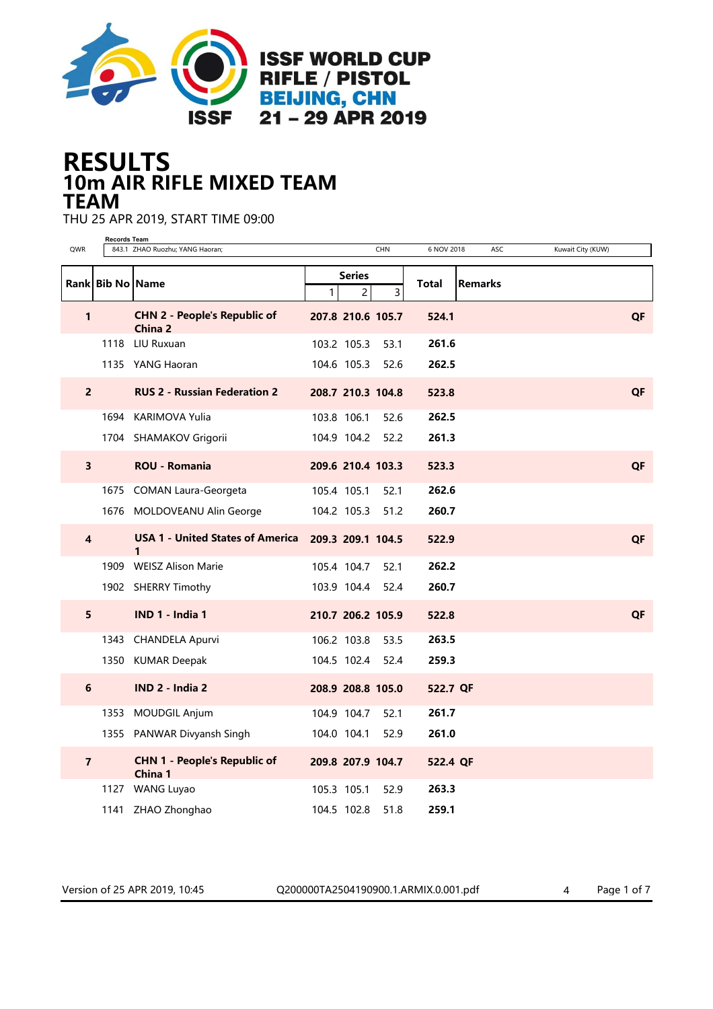

## 10m AIR RIFLE MIXED TEAM RESULTS TEAM

THU 25 APR 2019, START TIME 09:00

| QWR                     | <b>Records Team</b>        | 843.1 ZHAO Ruozhu; YANG Haoran;                | CHN                      | 6 NOV 2018<br>ASC       | Kuwait City (KUW) |
|-------------------------|----------------------------|------------------------------------------------|--------------------------|-------------------------|-------------------|
|                         |                            |                                                | <b>Series</b>            |                         |                   |
|                         | <b>Rankl Bib No   Name</b> |                                                | 3<br>1<br>$\overline{c}$ | Total<br><b>Remarks</b> |                   |
| 1                       |                            | <b>CHN 2 - People's Republic of</b><br>China 2 | 207.8 210.6 105.7        | 524.1                   | QF                |
|                         |                            | 1118 LIU Ruxuan                                | 103.2 105.3<br>53.1      | 261.6                   |                   |
|                         |                            | 1135 YANG Haoran                               | 104.6 105.3<br>52.6      | 262.5                   |                   |
| $\overline{2}$          |                            | <b>RUS 2 - Russian Federation 2</b>            | 208.7 210.3 104.8        | 523.8                   | QF                |
|                         |                            | 1694 KARIMOVA Yulia                            | 103.8 106.1<br>52.6      | 262.5                   |                   |
|                         |                            | 1704 SHAMAKOV Grigorii                         | 104.9 104.2<br>52.2      | 261.3                   |                   |
| 3                       |                            | <b>ROU - Romania</b>                           | 209.6 210.4 103.3        | 523.3                   | QF                |
|                         |                            | 1675 COMAN Laura-Georgeta                      | 105.4 105.1<br>52.1      | 262.6                   |                   |
|                         |                            | 1676 MOLDOVEANU Alin George                    | 104.2 105.3<br>51.2      | 260.7                   |                   |
| $\overline{\mathbf{4}}$ |                            | <b>USA 1 - United States of America</b><br>1   | 209.3 209.1 104.5        | 522.9                   | QF                |
|                         |                            | 1909 WEISZ Alison Marie                        | 105.4 104.7<br>52.1      | 262.2                   |                   |
|                         |                            | 1902 SHERRY Timothy                            | 103.9 104.4<br>52.4      | 260.7                   |                   |
| 5                       |                            | IND 1 - India 1                                | 210.7 206.2 105.9        | 522.8                   | QF                |
|                         |                            | 1343 CHANDELA Apurvi                           | 106.2 103.8<br>53.5      | 263.5                   |                   |
|                         |                            | 1350 KUMAR Deepak                              | 104.5 102.4<br>52.4      | 259.3                   |                   |
| 6                       |                            | IND 2 - India 2                                | 208.9 208.8 105.0        | 522.7 QF                |                   |
|                         |                            | 1353 MOUDGIL Anjum                             | 104.9 104.7<br>52.1      | 261.7                   |                   |
|                         |                            | 1355 PANWAR Divyansh Singh                     | 104.0 104.1<br>52.9      | 261.0                   |                   |
| $\overline{7}$          |                            | <b>CHN 1 - People's Republic of</b><br>China 1 | 209.8 207.9 104.7        | 522.4 QF                |                   |
|                         |                            | 1127 WANG Luyao                                | 105.3 105.1<br>52.9      | 263.3                   |                   |
|                         |                            | 1141 ZHAO Zhonghao                             | 104.5 102.8<br>51.8      | 259.1                   |                   |

Version of 25 APR 2019, 10:45 Q200000TA2504190900.1.ARMIX.0.001.pdf 4 Page 1 of 7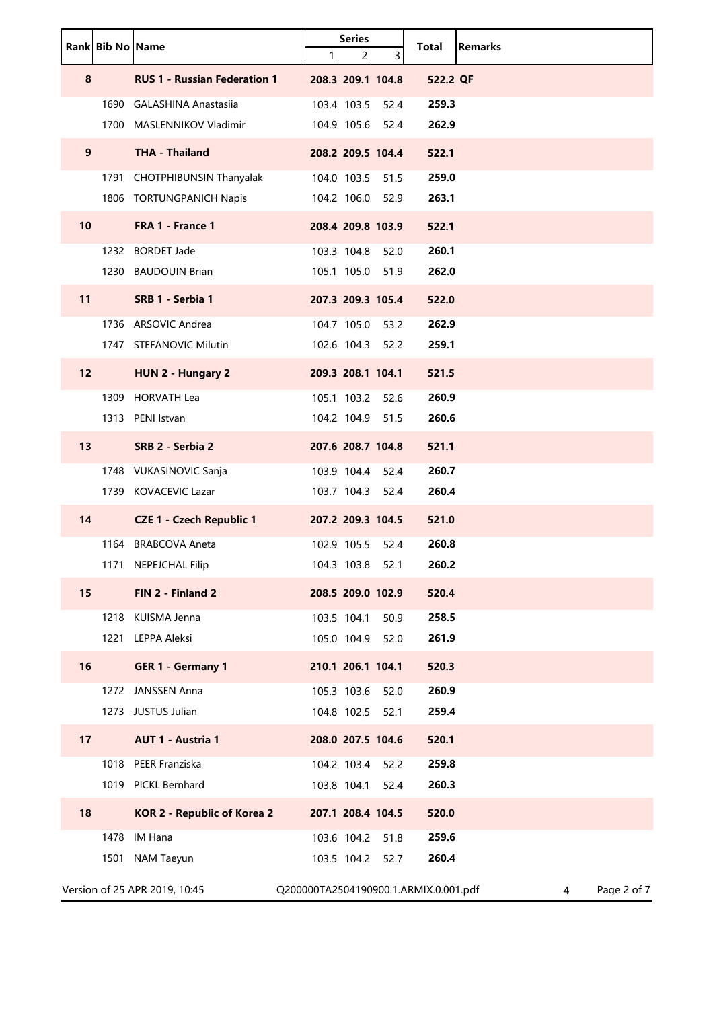|                 | Rank Bib No Name |                                     | <b>Series</b><br>1<br>$\overline{2}$<br>3 | <b>Remarks</b><br>Total |
|-----------------|------------------|-------------------------------------|-------------------------------------------|-------------------------|
| 8               |                  | <b>RUS 1 - Russian Federation 1</b> | 208.3 209.1 104.8                         | 522.2 QF                |
|                 |                  | 1690 GALASHINA Anastasiia           | 103.4 103.5<br>52.4                       | 259.3                   |
|                 |                  | 1700 MASLENNIKOV Vladimir           | 104.9 105.6 52.4                          | 262.9                   |
| 9               |                  | <b>THA - Thailand</b>               | 208.2 209.5 104.4                         | 522.1                   |
|                 |                  | 1791 CHOTPHIBUNSIN Thanyalak        | 104.0 103.5<br>51.5                       | 259.0                   |
|                 |                  | 1806 TORTUNGPANICH Napis            | 104.2 106.0<br>52.9                       | 263.1                   |
| 10              |                  | FRA 1 - France 1                    | 208.4 209.8 103.9                         | 522.1                   |
|                 |                  | 1232 BORDET Jade                    | 103.3 104.8<br>52.0                       | 260.1                   |
|                 |                  | 1230 BAUDOUIN Brian                 | 105.1 105.0<br>51.9                       | 262.0                   |
| 11              |                  | SRB 1 - Serbia 1                    | 207.3 209.3 105.4                         | 522.0                   |
|                 |                  | 1736 ARSOVIC Andrea                 | 104.7 105.0<br>53.2                       | 262.9                   |
|                 |                  | 1747 STEFANOVIC Milutin             | 102.6 104.3 52.2                          | 259.1                   |
| 12 <sup>2</sup> |                  | HUN 2 - Hungary 2                   | 209.3 208.1 104.1                         | 521.5                   |
|                 |                  | 1309 HORVATH Lea                    | 105.1 103.2<br>52.6                       | 260.9                   |
|                 |                  | 1313 PENI Istvan                    | 104.2 104.9<br>51.5                       | 260.6                   |
| 13              |                  | SRB 2 - Serbia 2                    | 207.6 208.7 104.8                         | 521.1                   |
|                 |                  | 1748 VUKASINOVIC Sanja              | 103.9 104.4 52.4                          | 260.7                   |
|                 |                  | 1739 KOVACEVIC Lazar                | 103.7 104.3<br>52.4                       | 260.4                   |
| 14              |                  | <b>CZE 1 - Czech Republic 1</b>     | 207.2 209.3 104.5                         | 521.0                   |
|                 |                  | 1164 BRABCOVA Aneta                 | 102.9 105.5<br>52.4                       | 260.8                   |
|                 |                  | 1171 NEPEJCHAL Filip                | 104.3 103.8 52.1                          | 260.2                   |
| 15              |                  | FIN 2 - Finland 2                   | 208.5 209.0 102.9                         | 520.4                   |
|                 |                  | 1218 KUISMA Jenna                   | 103.5 104.1<br>50.9                       | 258.5                   |
|                 |                  | 1221 LEPPA Aleksi                   | 105.0 104.9<br>52.0                       | 261.9                   |
| 16              |                  | <b>GER 1 - Germany 1</b>            | 210.1 206.1 104.1                         | 520.3                   |
|                 |                  | 1272 JANSSEN Anna                   | 105.3 103.6<br>52.0                       | 260.9                   |
|                 |                  | 1273 JUSTUS Julian                  | 104.8 102.5 52.1                          | 259.4                   |
| 17              |                  | AUT 1 - Austria 1                   | 208.0 207.5 104.6                         | 520.1                   |
|                 |                  | 1018 PEER Franziska                 | 104.2 103.4 52.2                          | 259.8                   |
|                 |                  | 1019 PICKL Bernhard                 | 103.8 104.1<br>52.4                       | 260.3                   |
| 18              |                  | KOR 2 - Republic of Korea 2         | 207.1 208.4 104.5                         | 520.0                   |
|                 |                  | 1478 IM Hana                        | 103.6 104.2 51.8                          | 259.6                   |
|                 |                  | 1501 NAM Taeyun                     | 103.5 104.2 52.7                          | 260.4                   |
|                 |                  | Version of 25 APR 2019, 10:45       | Q200000TA2504190900.1.ARMIX.0.001.pdf     | Page 2 of 7<br>4        |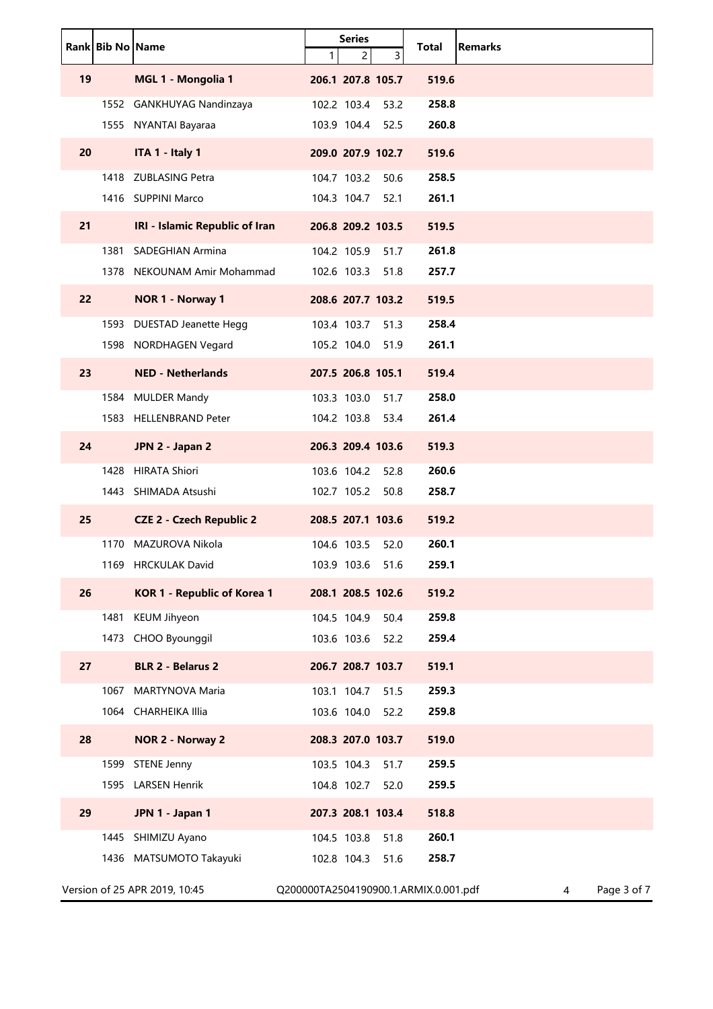|    | Rank Bib No Name |                                 | <b>Series</b><br>$\mathbf{1}$<br>$\overline{2}$<br>3 | <b>Remarks</b><br>Total |             |
|----|------------------|---------------------------------|------------------------------------------------------|-------------------------|-------------|
| 19 |                  | MGL 1 - Mongolia 1              | 206.1 207.8 105.7                                    | 519.6                   |             |
|    |                  | 1552 GANKHUYAG Nandinzaya       | 102.2 103.4<br>53.2                                  | 258.8                   |             |
|    |                  | 1555 NYANTAI Bayaraa            | 103.9 104.4 52.5                                     | 260.8                   |             |
| 20 |                  | ITA 1 - Italy 1                 | 209.0 207.9 102.7                                    | 519.6                   |             |
|    |                  | 1418 ZUBLASING Petra            | 104.7 103.2<br>50.6                                  | 258.5                   |             |
|    |                  | 1416 SUPPINI Marco              | 104.3 104.7<br>52.1                                  | 261.1                   |             |
| 21 |                  | IRI - Islamic Republic of Iran  | 206.8 209.2 103.5                                    | 519.5                   |             |
|    |                  | 1381 SADEGHIAN Armina           | 104.2 105.9<br>51.7                                  | 261.8                   |             |
|    |                  | 1378 NEKOUNAM Amir Mohammad     | 102.6 103.3<br>51.8                                  | 257.7                   |             |
| 22 |                  | NOR 1 - Norway 1                | 208.6 207.7 103.2                                    | 519.5                   |             |
|    |                  | 1593 DUESTAD Jeanette Hegg      | 103.4 103.7<br>51.3                                  | 258.4                   |             |
|    |                  | 1598 NORDHAGEN Vegard           | 105.2 104.0<br>51.9                                  | 261.1                   |             |
| 23 |                  | <b>NED - Netherlands</b>        | 207.5 206.8 105.1                                    | 519.4                   |             |
|    |                  | 1584 MULDER Mandy               | 103.3 103.0<br>51.7                                  | 258.0                   |             |
|    |                  | 1583 HELLENBRAND Peter          | 104.2 103.8<br>53.4                                  | 261.4                   |             |
| 24 |                  | JPN 2 - Japan 2                 | 206.3 209.4 103.6                                    | 519.3                   |             |
|    |                  | 1428 HIRATA Shiori              | 103.6 104.2<br>52.8                                  | 260.6                   |             |
|    |                  | 1443 SHIMADA Atsushi            | 102.7 105.2<br>50.8                                  | 258.7                   |             |
| 25 |                  | <b>CZE 2 - Czech Republic 2</b> | 208.5 207.1 103.6                                    | 519.2                   |             |
|    |                  | 1170 MAZUROVA Nikola            | 104.6 103.5<br>52.0                                  | 260.1                   |             |
|    |                  | 1169 HRCKULAK David             | 103.9 103.6 51.6                                     | 259.1                   |             |
| 26 |                  | KOR 1 - Republic of Korea 1     | 208.1 208.5 102.6                                    | 519.2                   |             |
|    | 1481             | <b>KEUM Jihyeon</b>             | 104.5 104.9<br>50.4                                  | 259.8                   |             |
|    |                  | 1473 CHOO Byounggil             | 103.6 103.6<br>52.2                                  | 259.4                   |             |
| 27 |                  | <b>BLR 2 - Belarus 2</b>        | 206.7 208.7 103.7                                    | 519.1                   |             |
|    |                  | 1067 MARTYNOVA Maria            | 103.1 104.7<br>51.5                                  | 259.3                   |             |
|    |                  | 1064 CHARHEIKA Illia            | 103.6 104.0<br>52.2                                  | 259.8                   |             |
| 28 |                  | NOR 2 - Norway 2                | 208.3 207.0 103.7                                    | 519.0                   |             |
|    |                  | 1599 STENE Jenny                | 103.5 104.3<br>51.7                                  | 259.5                   |             |
|    |                  | 1595 LARSEN Henrik              | 104.8 102.7<br>52.0                                  | 259.5                   |             |
| 29 |                  | JPN 1 - Japan 1                 | 207.3 208.1 103.4                                    | 518.8                   |             |
|    |                  | 1445 SHIMIZU Ayano              | 104.5 103.8<br>51.8                                  | 260.1                   |             |
|    |                  | 1436 MATSUMOTO Takayuki         | 102.8 104.3<br>51.6                                  | 258.7                   |             |
|    |                  | Version of 25 APR 2019, 10:45   | Q200000TA2504190900.1.ARMIX.0.001.pdf                | 4                       | Page 3 of 7 |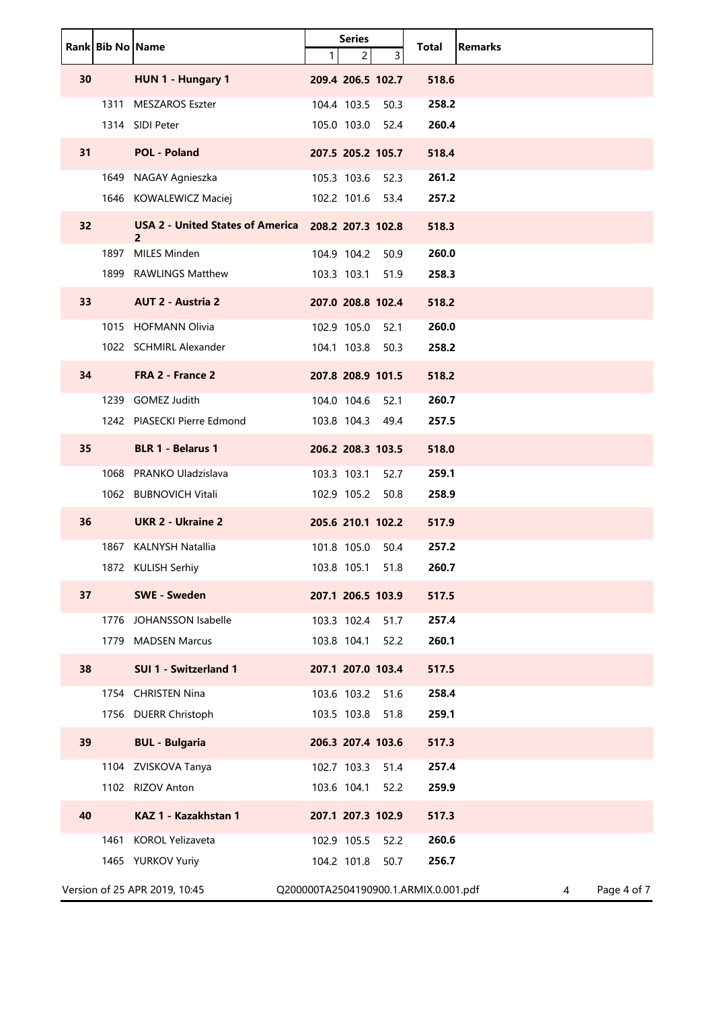|    | Rank Bib No Name |                                                         | <b>Series</b><br>1<br>$\overline{2}$<br>3 | <b>Remarks</b><br>Total |
|----|------------------|---------------------------------------------------------|-------------------------------------------|-------------------------|
| 30 |                  | HUN 1 - Hungary 1                                       | 209.4 206.5 102.7                         | 518.6                   |
|    |                  | 1311 MESZAROS Eszter                                    | 104.4 103.5<br>50.3                       | 258.2                   |
|    |                  | 1314 SIDI Peter                                         | 105.0 103.0 52.4                          | 260.4                   |
| 31 |                  | <b>POL - Poland</b>                                     | 207.5 205.2 105.7                         | 518.4                   |
|    |                  | 1649 NAGAY Agnieszka                                    | 105.3 103.6 52.3                          | 261.2                   |
|    |                  | 1646 KOWALEWICZ Maciej                                  | 102.2 101.6 53.4                          | 257.2                   |
| 32 |                  | USA 2 - United States of America 208.2 207.3 102.8<br>2 |                                           | 518.3                   |
|    |                  | 1897 MILES Minden                                       | 104.9 104.2 50.9                          | 260.0                   |
|    |                  | 1899 RAWLINGS Matthew                                   | 103.3 103.1 51.9                          | 258.3                   |
| 33 |                  | <b>AUT 2 - Austria 2</b>                                | 207.0 208.8 102.4                         | 518.2                   |
|    |                  | 1015 HOFMANN Olivia                                     | 102.9 105.0 52.1                          | 260.0                   |
|    |                  | 1022 SCHMIRL Alexander                                  | 104.1 103.8<br>50.3                       | 258.2                   |
| 34 |                  | FRA 2 - France 2                                        | 207.8 208.9 101.5                         | 518.2                   |
|    |                  | 1239 GOMEZ Judith                                       | 104.0 104.6 52.1                          | 260.7                   |
|    |                  | 1242 PIASECKI Pierre Edmond                             | 103.8 104.3 49.4                          | 257.5                   |
| 35 |                  | <b>BLR 1 - Belarus 1</b>                                | 206.2 208.3 103.5                         | 518.0                   |
|    |                  | 1068 PRANKO Uladzislava                                 | 103.3 103.1 52.7                          | 259.1                   |
|    |                  | 1062 BUBNOVICH Vitali                                   | 102.9 105.2 50.8                          | 258.9                   |
| 36 |                  | <b>UKR 2 - Ukraine 2</b>                                | 205.6 210.1 102.2                         | 517.9                   |
|    |                  | 1867 KALNYSH Natallia                                   | 101.8 105.0 50.4                          | 257.2                   |
|    |                  | 1872 KULISH Serhiy                                      | 103.8 105.1 51.8                          | 260.7                   |
| 37 |                  | <b>SWE - Sweden</b>                                     | 207.1 206.5 103.9                         | 517.5                   |
|    |                  | 1776 JOHANSSON Isabelle                                 | 103.3 102.4<br>51.7                       | 257.4                   |
|    |                  | 1779 MADSEN Marcus                                      | 103.8 104.1<br>52.2                       | 260.1                   |
| 38 |                  | SUI 1 - Switzerland 1                                   | 207.1 207.0 103.4                         | 517.5                   |
|    |                  | 1754 CHRISTEN Nina                                      | 103.6 103.2<br>51.6                       | 258.4                   |
|    |                  | 1756 DUERR Christoph                                    | 103.5 103.8<br>51.8                       | 259.1                   |
| 39 |                  | <b>BUL - Bulgaria</b>                                   | 206.3 207.4 103.6                         | 517.3                   |
|    |                  | 1104 ZVISKOVA Tanya                                     | 102.7 103.3<br>51.4                       | 257.4                   |
|    |                  | 1102 RIZOV Anton                                        | 103.6 104.1<br>52.2                       | 259.9                   |
| 40 |                  | KAZ 1 - Kazakhstan 1                                    | 207.1 207.3 102.9                         | 517.3                   |
|    | 1461             | <b>KOROL Yelizaveta</b>                                 | 102.9 105.5<br>52.2                       | 260.6                   |
|    |                  | 1465 YURKOV Yuriy                                       | 104.2 101.8<br>50.7                       | 256.7                   |
|    |                  | Version of 25 APR 2019, 10:45                           | Q200000TA2504190900.1.ARMIX.0.001.pdf     | Page 4 of 7<br>4        |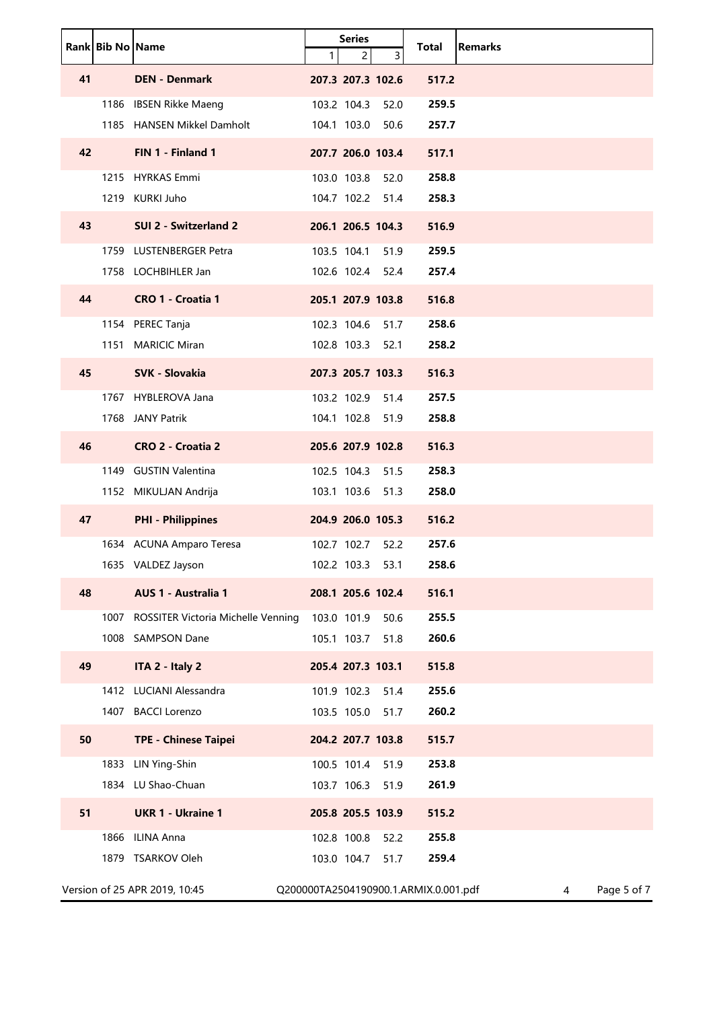|    | Rank Bib No Name |                                         | <b>Series</b><br>$\mathbf{1}$<br>$\overline{c}$<br>3 | <b>Remarks</b><br>Total |
|----|------------------|-----------------------------------------|------------------------------------------------------|-------------------------|
| 41 |                  | <b>DEN - Denmark</b>                    | 207.3 207.3 102.6                                    | 517.2                   |
|    |                  | 1186 IBSEN Rikke Maeng                  | 103.2 104.3<br>52.0                                  | 259.5                   |
|    |                  | 1185 HANSEN Mikkel Damholt              | 104.1 103.0<br>50.6                                  | 257.7                   |
| 42 |                  | FIN 1 - Finland 1                       | 207.7 206.0 103.4                                    | 517.1                   |
|    |                  | 1215 HYRKAS Emmi                        | 103.0 103.8<br>52.0                                  | 258.8                   |
|    |                  | 1219 KURKI Juho                         | 104.7 102.2 51.4                                     | 258.3                   |
| 43 |                  | SUI 2 - Switzerland 2                   | 206.1 206.5 104.3                                    | 516.9                   |
|    |                  | 1759 LUSTENBERGER Petra                 | 103.5 104.1<br>51.9                                  | 259.5                   |
|    |                  | 1758 LOCHBIHLER Jan                     | 102.6 102.4 52.4                                     | 257.4                   |
| 44 |                  | CRO 1 - Croatia 1                       | 205.1 207.9 103.8                                    | 516.8                   |
|    |                  | 1154 PEREC Tanja<br>1151 MARICIC Miran  | 102.3 104.6<br>51.7<br>102.8 103.3<br>52.1           | 258.6<br>258.2          |
|    |                  |                                         |                                                      |                         |
| 45 |                  | <b>SVK - Slovakia</b>                   | 207.3 205.7 103.3                                    | 516.3                   |
|    |                  | 1767 HYBLEROVA Jana<br>1768 JANY Patrik | 103.2 102.9<br>51.4<br>104.1 102.8<br>51.9           | 257.5<br>258.8          |
|    |                  | CRO 2 - Croatia 2                       |                                                      |                         |
| 46 |                  | 1149 GUSTIN Valentina                   | 205.6 207.9 102.8<br>102.5 104.3                     | 516.3<br>258.3          |
|    |                  | 1152 MIKULJAN Andrija                   | 51.5<br>103.1 103.6<br>51.3                          | 258.0                   |
| 47 |                  | <b>PHI - Philippines</b>                | 204.9 206.0 105.3                                    | 516.2                   |
|    |                  | 1634 ACUNA Amparo Teresa                | 102.7 102.7<br>52.2                                  | 257.6                   |
|    |                  | 1635 VALDEZ Jayson                      | 102.2 103.3 53.1                                     | 258.6                   |
| 48 |                  | AUS 1 - Australia 1                     | 208.1 205.6 102.4                                    | 516.1                   |
|    |                  | 1007 ROSSITER Victoria Michelle Venning | 103.0 101.9<br>50.6                                  | 255.5                   |
|    |                  | 1008 SAMPSON Dane                       | 105.1 103.7<br>51.8                                  | 260.6                   |
| 49 |                  | ITA 2 - Italy 2                         | 205.4 207.3 103.1                                    | 515.8                   |
|    |                  | 1412 LUCIANI Alessandra                 | 101.9 102.3<br>51.4                                  | 255.6                   |
|    |                  | 1407 BACCI Lorenzo                      | 103.5 105.0<br>51.7                                  | 260.2                   |
| 50 |                  | <b>TPE - Chinese Taipei</b>             | 204.2 207.7 103.8                                    | 515.7                   |
|    |                  | 1833 LIN Ying-Shin                      | 100.5 101.4 51.9                                     | 253.8                   |
|    |                  | 1834 LU Shao-Chuan                      | 103.7 106.3<br>51.9                                  | 261.9                   |
| 51 |                  | <b>UKR 1 - Ukraine 1</b>                | 205.8 205.5 103.9                                    | 515.2                   |
|    |                  | 1866 ILINA Anna                         | 102.8 100.8<br>52.2                                  | 255.8                   |
|    |                  | 1879 TSARKOV Oleh                       | 103.0 104.7<br>51.7                                  | 259.4                   |
|    |                  | Version of 25 APR 2019, 10:45           | Q200000TA2504190900.1.ARMIX.0.001.pdf                | Page 5 of 7<br>4        |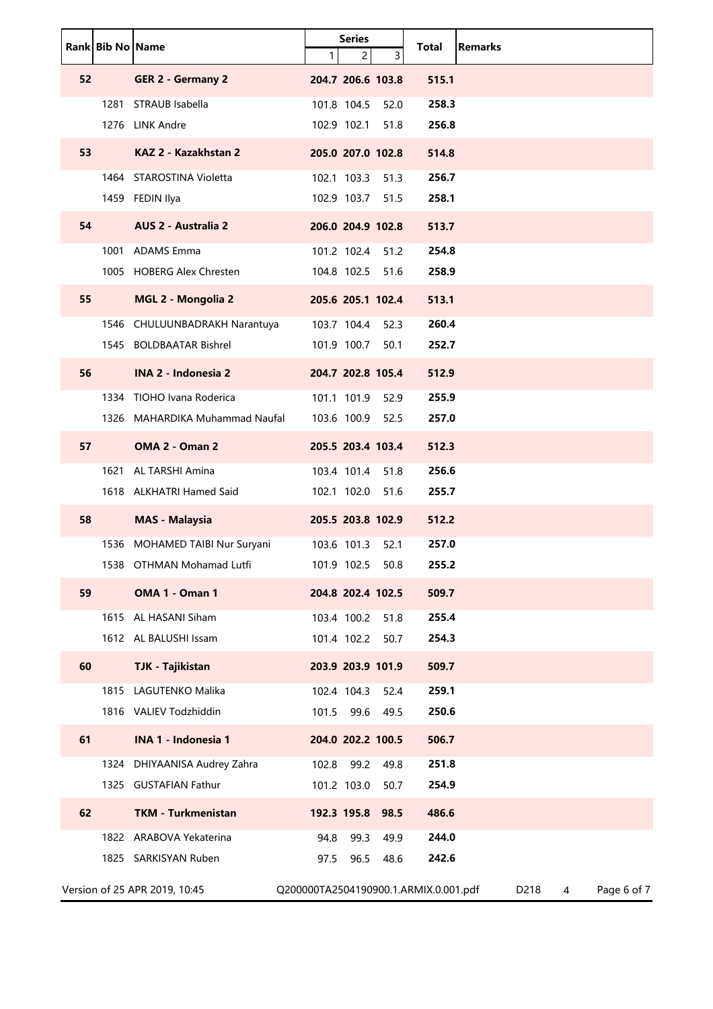|    | Rank Bib No Name |                                | $\mathbf{1}$      | <b>Series</b><br>$\overline{c}$ | 3                | Total                                 | <b>Remarks</b>           |
|----|------------------|--------------------------------|-------------------|---------------------------------|------------------|---------------------------------------|--------------------------|
| 52 |                  | <b>GER 2 - Germany 2</b>       | 204.7 206.6 103.8 |                                 |                  | 515.1                                 |                          |
|    |                  | 1281 STRAUB Isabella           | 101.8 104.5       |                                 | 52.0             | 258.3                                 |                          |
|    |                  | 1276 LINK Andre                | 102.9 102.1       |                                 | 51.8             | 256.8                                 |                          |
| 53 |                  | KAZ 2 - Kazakhstan 2           | 205.0 207.0 102.8 |                                 |                  | 514.8                                 |                          |
|    |                  | 1464 STAROSTINA Violetta       | 102.1 103.3       |                                 | 51.3             | 256.7                                 |                          |
|    |                  | 1459 FEDIN Ilya                | 102.9 103.7 51.5  |                                 |                  | 258.1                                 |                          |
| 54 |                  | <b>AUS 2 - Australia 2</b>     | 206.0 204.9 102.8 |                                 |                  | 513.7                                 |                          |
|    |                  | 1001 ADAMS Emma                | 101.2 102.4       |                                 | 51.2             | 254.8                                 |                          |
|    |                  | 1005 HOBERG Alex Chresten      | 104.8 102.5       |                                 | 51.6             | 258.9                                 |                          |
| 55 |                  | MGL 2 - Mongolia 2             | 205.6 205.1 102.4 |                                 |                  | 513.1                                 |                          |
|    |                  | 1546 CHULUUNBADRAKH Narantuya  | 103.7 104.4       |                                 | 52.3             | 260.4                                 |                          |
|    |                  | 1545 BOLDBAATAR Bishrel        | 101.9 100.7       |                                 | 50.1             | 252.7                                 |                          |
| 56 |                  | INA 2 - Indonesia 2            | 204.7 202.8 105.4 |                                 |                  | 512.9                                 |                          |
|    |                  | 1334 TIOHO Ivana Roderica      | 101.1 101.9       |                                 | 52.9             | 255.9                                 |                          |
|    |                  | 1326 MAHARDIKA Muhammad Naufal | 103.6 100.9       |                                 | 52.5             | 257.0                                 |                          |
| 57 |                  | OMA 2 - Oman 2                 | 205.5 203.4 103.4 |                                 |                  | 512.3                                 |                          |
|    |                  | 1621 AL TARSHI Amina           | 103.4 101.4 51.8  |                                 |                  | 256.6                                 |                          |
|    |                  | 1618 ALKHATRI Hamed Said       | 102.1 102.0       |                                 | 51.6             | 255.7                                 |                          |
| 58 |                  | <b>MAS - Malaysia</b>          | 205.5 203.8 102.9 |                                 |                  | 512.2                                 |                          |
|    |                  | 1536 MOHAMED TAIBI Nur Suryani | 103.6 101.3       |                                 | 52.1             | 257.0                                 |                          |
|    |                  | 1538 OTHMAN Mohamad Lutfi      | 101.9 102.5 50.8  |                                 |                  | 255.2                                 |                          |
| 59 |                  | <b>OMA 1 - Oman 1</b>          | 204.8 202.4 102.5 |                                 |                  | 509.7                                 |                          |
|    |                  | 1615 AL HASANI Siham           | 103.4 100.2       |                                 | 51.8             | 255.4                                 |                          |
|    |                  | 1612 AL BALUSHI Issam          |                   |                                 | 101.4 102.2 50.7 | 254.3                                 |                          |
| 60 |                  | TJK - Tajikistan               | 203.9 203.9 101.9 |                                 |                  | 509.7                                 |                          |
|    |                  | 1815 LAGUTENKO Malika          | 102.4 104.3       |                                 | 52.4             | 259.1                                 |                          |
|    |                  | 1816 VALIEV Todzhiddin         | 101.5 99.6        |                                 | 49.5             | 250.6                                 |                          |
| 61 |                  | INA 1 - Indonesia 1            | 204.0 202.2 100.5 |                                 |                  | 506.7                                 |                          |
|    |                  | 1324 DHIYAANISA Audrey Zahra   | 102.8 99.2        |                                 | 49.8             | 251.8                                 |                          |
|    |                  | 1325 GUSTAFIAN Fathur          | 101.2 103.0       |                                 | 50.7             | 254.9                                 |                          |
| 62 |                  | <b>TKM - Turkmenistan</b>      | 192.3 195.8 98.5  |                                 |                  | 486.6                                 |                          |
|    |                  | 1822 ARABOVA Yekaterina        | 94.8              | 99.3                            | 49.9             | 244.0                                 |                          |
|    |                  | 1825 SARKISYAN Ruben           | 97.5              | 96.5                            | 48.6             | 242.6                                 |                          |
|    |                  | Version of 25 APR 2019, 10:45  |                   |                                 |                  | Q200000TA2504190900.1.ARMIX.0.001.pdf | Page 6 of 7<br>D218<br>4 |